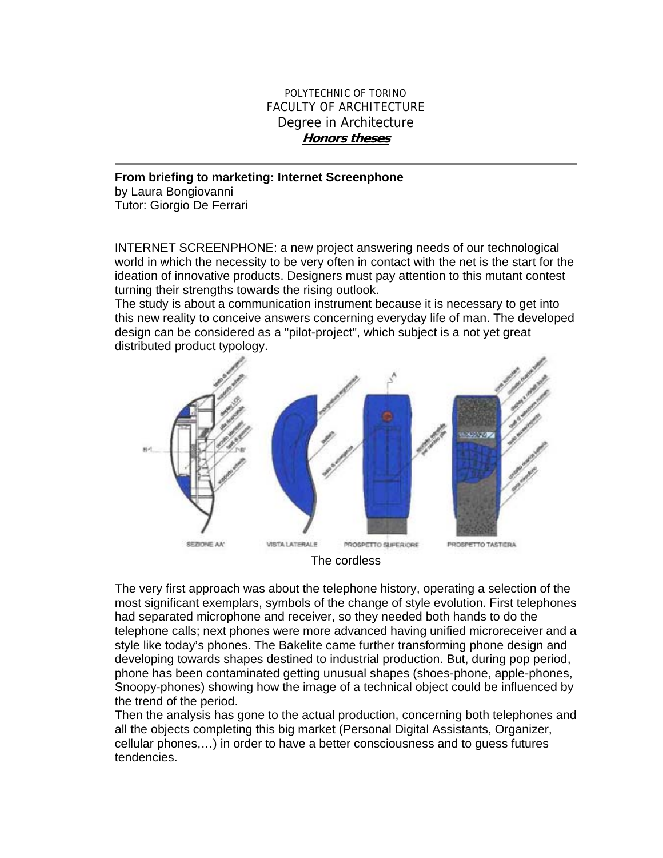## POLYTECHNIC OF TORINO FACULTY OF ARCHITECTURE Degree in Architecture **Honors theses**

**From briefing to marketing: Internet Screenphone**  by Laura Bongiovanni Tutor: Giorgio De Ferrari

INTERNET SCREENPHONE: a new project answering needs of our technological world in which the necessity to be very often in contact with the net is the start for the ideation of innovative products. Designers must pay attention to this mutant contest turning their strengths towards the rising outlook.

The study is about a communication instrument because it is necessary to get into this new reality to conceive answers concerning everyday life of man. The developed design can be considered as a "pilot-project", which subject is a not yet great distributed product typology.



The very first approach was about the telephone history, operating a selection of the most significant exemplars, symbols of the change of style evolution. First telephones had separated microphone and receiver, so they needed both hands to do the telephone calls; next phones were more advanced having unified microreceiver and a style like today's phones. The Bakelite came further transforming phone design and developing towards shapes destined to industrial production. But, during pop period, phone has been contaminated getting unusual shapes (shoes-phone, apple-phones, Snoopy-phones) showing how the image of a technical object could be influenced by the trend of the period.

Then the analysis has gone to the actual production, concerning both telephones and all the objects completing this big market (Personal Digital Assistants, Organizer, cellular phones,…) in order to have a better consciousness and to guess futures tendencies.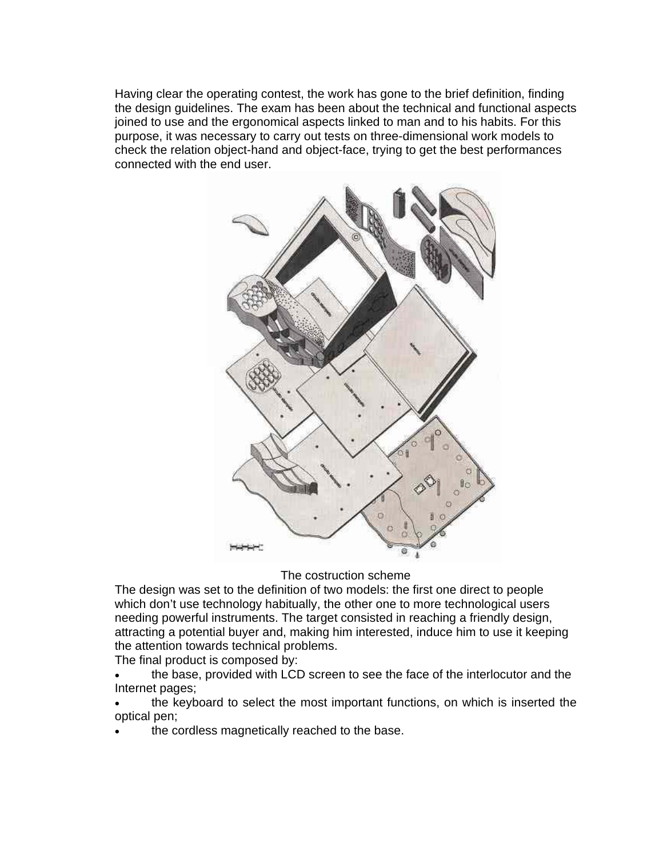Having clear the operating contest, the work has gone to the brief definition, finding the design guidelines. The exam has been about the technical and functional aspects joined to use and the ergonomical aspects linked to man and to his habits. For this purpose, it was necessary to carry out tests on three-dimensional work models to check the relation object-hand and object-face, trying to get the best performances connected with the end user.



The costruction scheme

The design was set to the definition of two models: the first one direct to people which don't use technology habitually, the other one to more technological users needing powerful instruments. The target consisted in reaching a friendly design, attracting a potential buyer and, making him interested, induce him to use it keeping the attention towards technical problems.

The final product is composed by:

- the base, provided with LCD screen to see the face of the interlocutor and the Internet pages;
- the keyboard to select the most important functions, on which is inserted the optical pen;
- the cordless magnetically reached to the base.